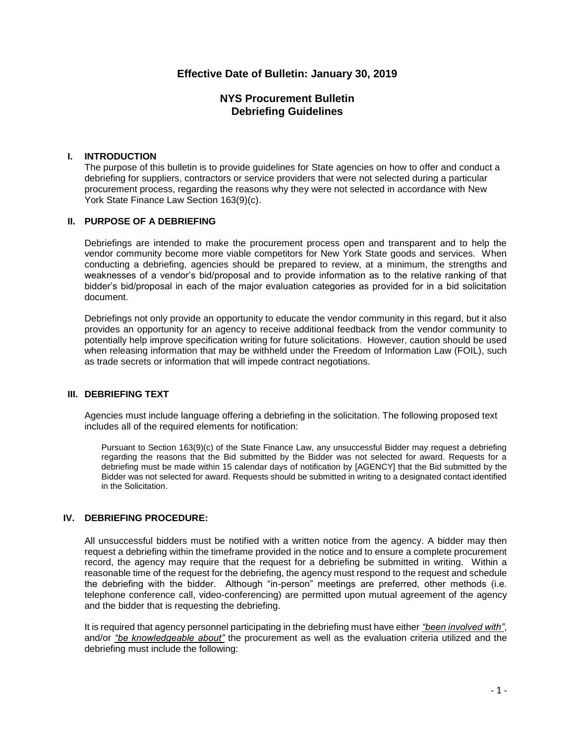# **Effective Date of Bulletin: January 30, 2019**

# **NYS Procurement Bulletin Debriefing Guidelines**

#### **I. INTRODUCTION**

The purpose of this bulletin is to provide guidelines for State agencies on how to offer and conduct a debriefing for suppliers, contractors or service providers that were not selected during a particular procurement process, regarding the reasons why they were not selected in accordance with [New](http://codes.findlaw.com/ny/state-finance-law/stf-sect-163.html)  [York State Finance Law Section 163\(9\)\(c\).](http://codes.findlaw.com/ny/state-finance-law/stf-sect-163.html)

#### **II. PURPOSE OF A DEBRIEFING**

Debriefings are intended to make the procurement process open and transparent and to help the vendor community become more viable competitors for New York State goods and services. When conducting a debriefing, agencies should be prepared to review, at a minimum, the strengths and weaknesses of a vendor's bid/proposal and to provide information as to the relative ranking of that bidder's bid/proposal in each of the major evaluation categories as provided for in a bid solicitation document.

Debriefings not only provide an opportunity to educate the vendor community in this regard, but it also provides an opportunity for an agency to receive additional feedback from the vendor community to potentially help improve specification writing for future solicitations. However, caution should be used when releasing information that may be withheld under the [Freedom of Information Law \(FOIL\),](http://ogssp/sites/psg/Shared%20Documents/FOIL%20Procedures%20(6-2016).pdf) such as trade secrets or information that will impede contract negotiations.

### **III. DEBRIEFING TEXT**

Agencies must include language offering a debriefing in the solicitation. The following proposed text includes all of the required elements for notification:

Pursuant to Section 163(9)(c) of the State Finance Law, any unsuccessful Bidder may request a debriefing regarding the reasons that the Bid submitted by the Bidder was not selected for award. Requests for a debriefing must be made within 15 calendar days of notification by [AGENCY] that the Bid submitted by the Bidder was not selected for award. Requests should be submitted in writing to a designated contact identified in the Solicitation.

## **IV. DEBRIEFING PROCEDURE:**

All unsuccessful bidders must be notified with a written notice from the agency. A bidder may then request a debriefing within the timeframe provided in the notice and to ensure a complete procurement record, the agency may require that the request for a debriefing be submitted in writing. Within a reasonable time of the request for the debriefing, the agency must respond to the request and schedule the debriefing with the bidder. Although "in-person" meetings are preferred, other methods (i.e. telephone conference call, video-conferencing) are permitted upon mutual agreement of the agency and the bidder that is requesting the debriefing.

It is required that agency personnel participating in the debriefing must have either *"been involved with"*, and/or *"be knowledgeable about"* the procurement as well as the evaluation criteria utilized and the debriefing must include the following: